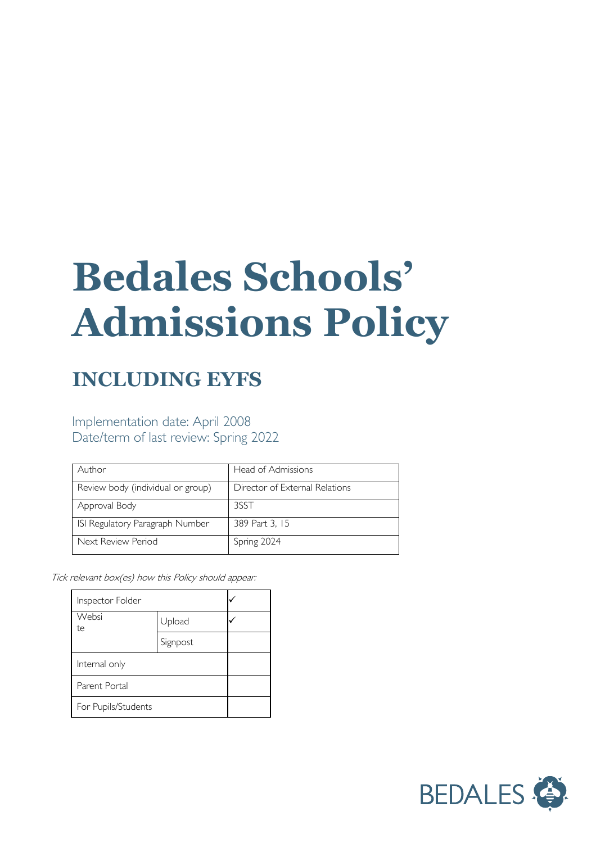# **Bedales Schools' Admissions Policy**

## **INCLUDING EYFS**

### Implementation date: April 2008 Date/term of last review: Spring 2022

| Author                            | Head of Admissions             |  |
|-----------------------------------|--------------------------------|--|
| Review body (individual or group) | Director of External Relations |  |
| Approval Body                     | 3SST                           |  |
| ISI Regulatory Paragraph Number   | 389 Part 3, 15                 |  |
| Next Review Period                | Spring 2024                    |  |

Tick relevant box(es) how this Policy should appear:

| Inspector Folder    |          |  |
|---------------------|----------|--|
| Websi<br>te         | Upload   |  |
|                     | Signpost |  |
| Internal only       |          |  |
| Parent Portal       |          |  |
| For Pupils/Students |          |  |

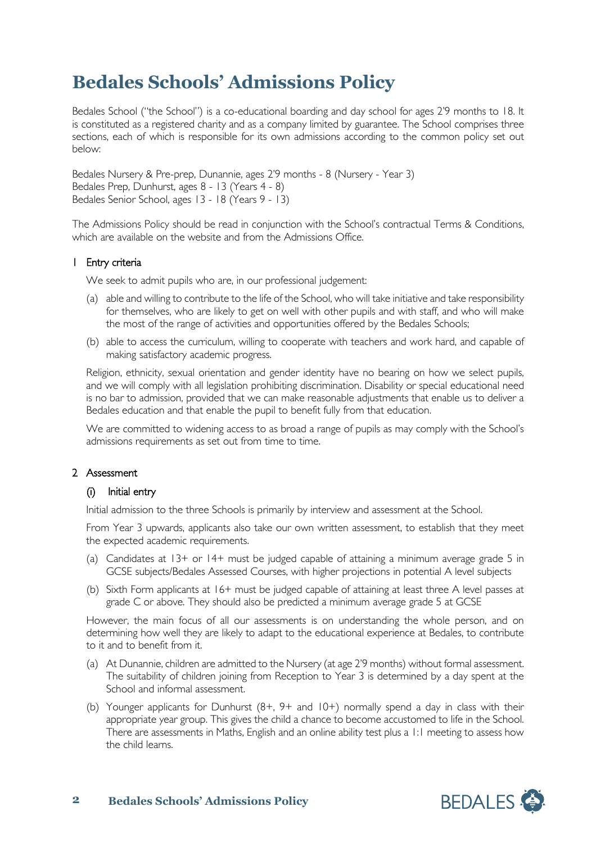## **Bedales Schools' Admissions Policy**

Bedales School ("the School") is a co-educational boarding and day school for ages 2'9 months to 18. It is constituted as a registered charity and as a company limited by guarantee. The School comprises three sections, each of which is responsible for its own admissions according to the common policy set out below:

Bedales Nursery & Pre-prep, Dunannie, ages 2'9 months - 8 (Nursery - Year 3) Bedales Prep, Dunhurst, ages 8 - 13 (Years 4 - 8) Bedales Senior School, ages 13 - 18 (Years 9 - 13)

The Admissions Policy should be read in conjunction with the School's contractual Terms & Conditions, which are available on the website and from the Admissions Office.

#### 1 Entry criteria

We seek to admit pupils who are, in our professional judgement:

- (a) able and willing to contribute to the life of the School, who will take initiative and take responsibility for themselves, who are likely to get on well with other pupils and with staff, and who will make the most of the range of activities and opportunities offered by the Bedales Schools;
- (b) able to access the curriculum, willing to cooperate with teachers and work hard, and capable of making satisfactory academic progress.

Religion, ethnicity, sexual orientation and gender identity have no bearing on how we select pupils, and we will comply with all legislation prohibiting discrimination. Disability or special educational need is no bar to admission, provided that we can make reasonable adjustments that enable us to deliver a Bedales education and that enable the pupil to benefit fully from that education.

We are committed to widening access to as broad a range of pupils as may comply with the School's admissions requirements as set out from time to time.

#### 2 Assessment

#### (i) Initial entry

Initial admission to the three Schools is primarily by interview and assessment at the School.

From Year 3 upwards, applicants also take our own written assessment, to establish that they meet the expected academic requirements.

- (a) Candidates at  $13+$  or  $14+$  must be judged capable of attaining a minimum average grade 5 in GCSE subjects/Bedales Assessed Courses, with higher projections in potential A level subjects
- (b) Sixth Form applicants at 16+ must be judged capable of attaining at least three A level passes at grade C or above. They should also be predicted a minimum average grade 5 at GCSE

However, the main focus of all our assessments is on understanding the whole person, and on determining how well they are likely to adapt to the educational experience at Bedales, to contribute to it and to benefit from it.

- (a) At Dunannie, children are admitted to the Nursery (at age 2'9 months) without formal assessment. The suitability of children joining from Reception to Year 3 is determined by a day spent at the School and informal assessment.
- (b) Younger applicants for Dunhurst (8+, 9+ and 10+) normally spend a day in class with their appropriate year group. This gives the child a chance to become accustomed to life in the School. There are assessments in Maths, English and an online ability test plus a 1:1 meeting to assess how the child learns.

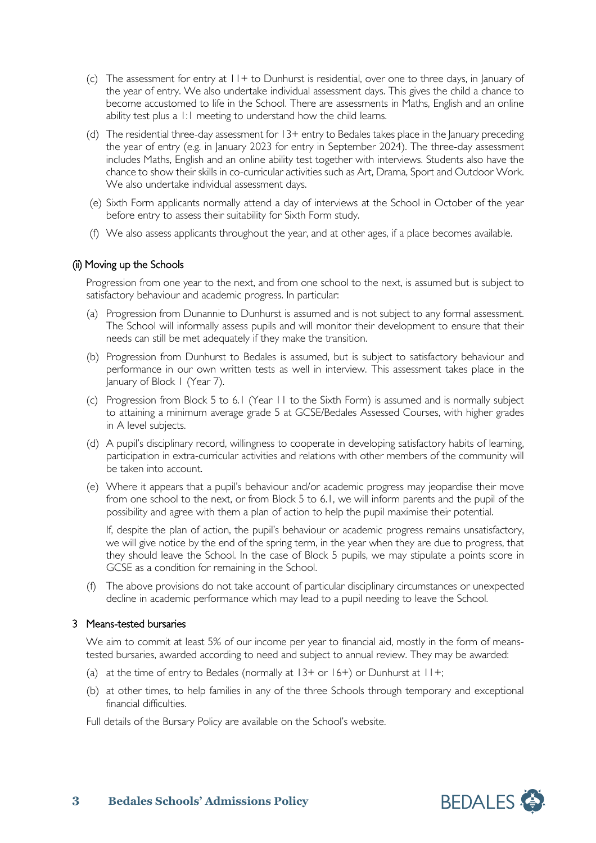- (c) The assessment for entry at  $11 +$  to Dunhurst is residential, over one to three days, in January of the year of entry. We also undertake individual assessment days. This gives the child a chance to become accustomed to life in the School. There are assessments in Maths, English and an online ability test plus a 1:1 meeting to understand how the child learns.
- (d) The residential three-day assessment for 13+ entry to Bedales takes place in the January preceding the year of entry (e.g. in January 2023 for entry in September 2024). The three-day assessment includes Maths, English and an online ability test together with interviews. Students also have the chance to show their skills in co-curricular activities such as Art, Drama, Sport and Outdoor Work. We also undertake individual assessment days.
- (e) Sixth Form applicants normally attend a day of interviews at the School in October of the year before entry to assess their suitability for Sixth Form study.
- (f) We also assess applicants throughout the year, and at other ages, if a place becomes available.

#### (ii) Moving up the Schools

Progression from one year to the next, and from one school to the next, is assumed but is subject to satisfactory behaviour and academic progress. In particular:

- (a) Progression from Dunannie to Dunhurst is assumed and is not subject to any formal assessment. The School will informally assess pupils and will monitor their development to ensure that their needs can still be met adequately if they make the transition.
- (b) Progression from Dunhurst to Bedales is assumed, but is subject to satisfactory behaviour and performance in our own written tests as well in interview. This assessment takes place in the January of Block 1 (Year 7).
- (c) Progression from Block 5 to 6.1 (Year 11 to the Sixth Form) is assumed and is normally subject to attaining a minimum average grade 5 at GCSE/Bedales Assessed Courses, with higher grades in A level subjects.
- (d) A pupil's disciplinary record, willingness to cooperate in developing satisfactory habits of learning, participation in extra-curricular activities and relations with other members of the community will be taken into account.
- (e) Where it appears that a pupil's behaviour and/or academic progress may jeopardise their move from one school to the next, or from Block 5 to 6.1, we will inform parents and the pupil of the possibility and agree with them a plan of action to help the pupil maximise their potential.

If, despite the plan of action, the pupil's behaviour or academic progress remains unsatisfactory, we will give notice by the end of the spring term, in the year when they are due to progress, that they should leave the School. In the case of Block 5 pupils, we may stipulate a points score in GCSE as a condition for remaining in the School.

(f) The above provisions do not take account of particular disciplinary circumstances or unexpected decline in academic performance which may lead to a pupil needing to leave the School.

#### 3 Means-tested bursaries

We aim to commit at least 5% of our income per year to financial aid, mostly in the form of meanstested bursaries, awarded according to need and subject to annual review. They may be awarded:

- (a) at the time of entry to Bedales (normally at  $13+$  or  $16+$ ) or Dunhurst at  $11+$ ;
- (b) at other times, to help families in any of the three Schools through temporary and exceptional financial difficulties.

Full details of the Bursary Policy are available on the School's website.

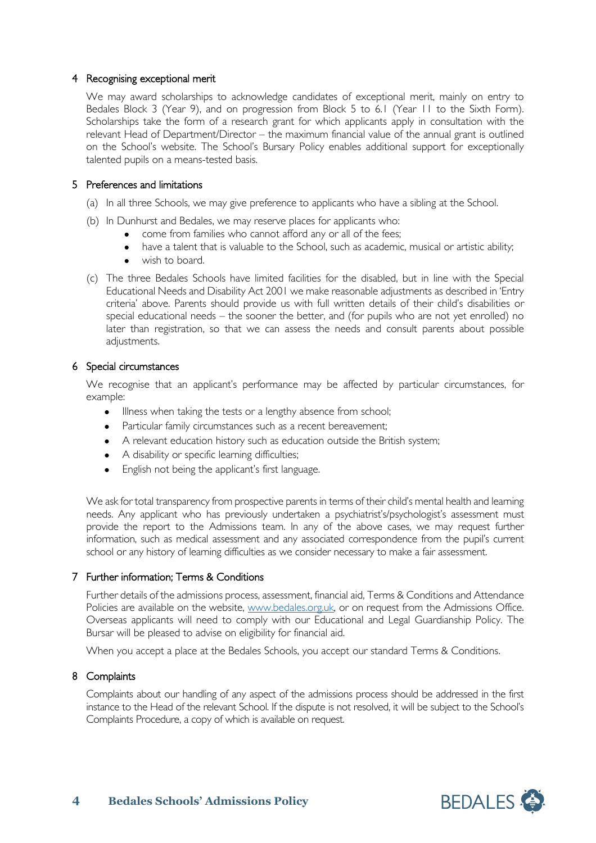#### 4 Recognising exceptional merit

We may award scholarships to acknowledge candidates of exceptional merit, mainly on entry to Bedales Block 3 (Year 9), and on progression from Block 5 to 6.1 (Year 11 to the Sixth Form). Scholarships take the form of a research grant for which applicants apply in consultation with the relevant Head of Department/Director – the maximum financial value of the annual grant is outlined on the School's website. The School's Bursary Policy enables additional support for exceptionally talented pupils on a means-tested basis.

#### 5 Preferences and limitations

- (a) In all three Schools, we may give preference to applicants who have a sibling at the School.
- (b) In Dunhurst and Bedales, we may reserve places for applicants who:
	- come from families who cannot afford any or all of the fees;
	- have a talent that is valuable to the School, such as academic, musical or artistic ability;
	- wish to board
- (c) The three Bedales Schools have limited facilities for the disabled, but in line with the Special Educational Needs and Disability Act 2001 we make reasonable adjustments as described in 'Entry criteria' above. Parents should provide us with full written details of their child's disabilities or special educational needs – the sooner the better, and (for pupils who are not yet enrolled) no later than registration, so that we can assess the needs and consult parents about possible adjustments.

#### 6 Special circumstances

We recognise that an applicant's performance may be affected by particular circumstances, for example:

- Illness when taking the tests or a lengthy absence from school;
- Particular family circumstances such as a recent bereavement;
- A relevant education history such as education outside the British system;
- A disability or specific learning difficulties;
- English not being the applicant's first language.

We ask for total transparency from prospective parents in terms of their child's mental health and learning needs. Any applicant who has previously undertaken a psychiatrist's/psychologist's assessment must provide the report to the Admissions team. In any of the above cases, we may request further information, such as medical assessment and any associated correspondence from the pupil's current school or any history of learning difficulties as we consider necessary to make a fair assessment.

#### 7 Further information; Terms & Conditions

Further details of the admissions process, assessment, financial aid, Terms & Conditions and Attendance Policies are available on the website, [www.bedales.org.uk,](http://www.bedales.org.uk/) or on request from the Admissions Office. Overseas applicants will need to comply with our Educational and Legal Guardianship Policy. The Bursar will be pleased to advise on eligibility for financial aid.

When you accept a place at the Bedales Schools, you accept our standard Terms & Conditions.

#### 8 Complaints

Complaints about our handling of any aspect of the admissions process should be addressed in the first instance to the Head of the relevant School. If the dispute is not resolved, it will be subject to the School's Complaints Procedure, a copy of which is available on request.